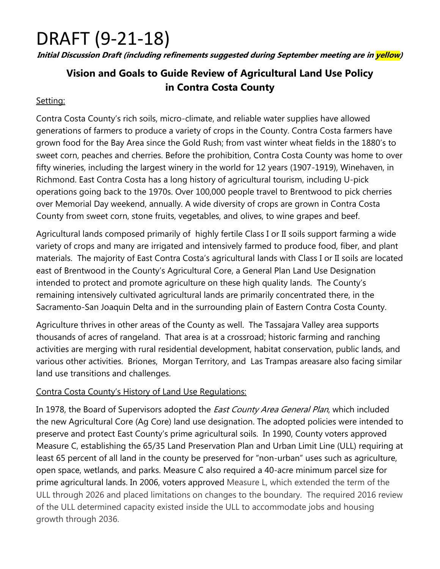## DRAFT (9-21-18)

**Initial Discussion Draft (including refinements suggested during September meeting are in yellow)**

### **Vision and Goals to Guide Review of Agricultural Land Use Policy in Contra Costa County**

#### Setting:

Contra Costa County's rich soils, micro-climate, and reliable water supplies have allowed generations of farmers to produce a variety of crops in the County. Contra Costa farmers have grown food for the Bay Area since the Gold Rush; from vast winter wheat fields in the 1880's to sweet corn, peaches and cherries. Before the prohibition, Contra Costa County was home to over fifty wineries, including the largest winery in the world for 12 years (1907-1919), Winehaven, in Richmond. East Contra Costa has a long history of agricultural tourism, including U-pick operations going back to the 1970s. Over 100,000 people travel to Brentwood to pick cherries over Memorial Day weekend, annually. A wide diversity of crops are grown in Contra Costa County from sweet corn, stone fruits, vegetables, and olives, to wine grapes and beef.

Agricultural lands composed primarily of highly fertile Class I or II soils support farming a wide variety of crops and many are irrigated and intensively farmed to produce food, fiber, and plant materials. The majority of East Contra Costa's agricultural lands with Class I or II soils are located east of Brentwood in the County's Agricultural Core, a General Plan Land Use Designation intended to protect and promote agriculture on these high quality lands. The County's remaining intensively cultivated agricultural lands are primarily concentrated there, in the Sacramento-San Joaquin Delta and in the surrounding plain of Eastern Contra Costa County.

Agriculture thrives in other areas of the County as well. The Tassajara Valley area supports thousands of acres of rangeland. That area is at a crossroad; historic farming and ranching activities are merging with rural residential development, habitat conservation, public lands, and various other activities. Briones, Morgan Territory, and Las Trampas areasare also facing similar land use transitions and challenges.

#### Contra Costa County's History of Land Use Regulations:

In 1978, the Board of Supervisors adopted the *East County Area General Plan*, which included the new Agricultural Core (Ag Core) land use designation. The adopted policies were intended to preserve and protect East County's prime agricultural soils. In 1990, County voters approved Measure C, establishing the 65/35 Land Preservation Plan and Urban Limit Line (ULL) requiring at least 65 percent of all land in the county be preserved for "non-urban" uses such as agriculture, open space, wetlands, and parks. Measure C also required a 40-acre minimum parcel size for prime agricultural lands. In 2006, voters approved Measure L, which extended the term of the ULL through 2026 and placed limitations on changes to the boundary. The required 2016 review of the ULL determined capacity existed inside the ULL to accommodate jobs and housing growth through 2036.